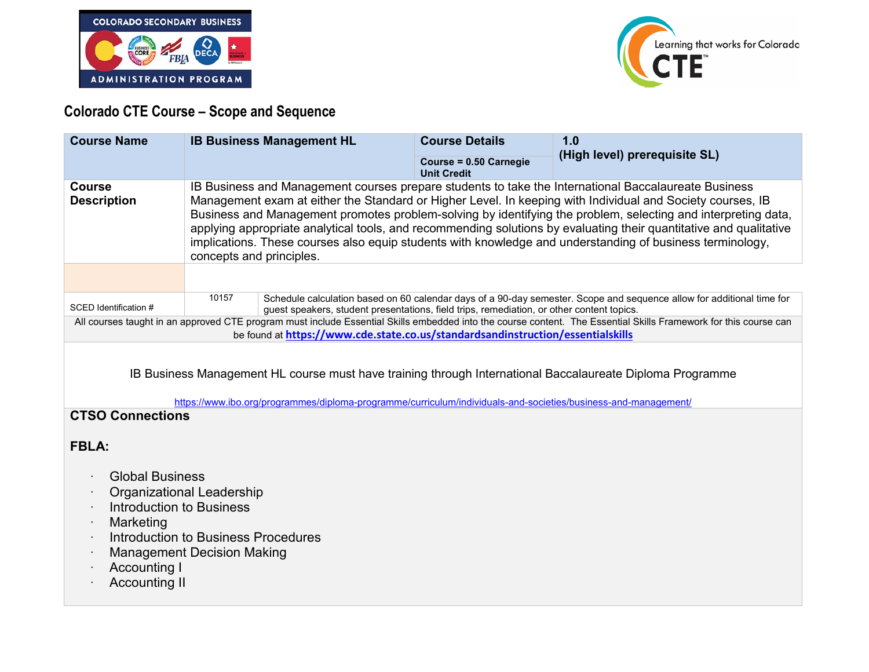



## **Colorado CTE Course – Scope and Sequence**

| <b>Course Name</b>                                                                                                                                                                                                                                                     | <b>IB Business Management HL</b>                                                                                                                                                                                                                                                                                                                                                                                                                                                                                                                                                                   | <b>Course Details</b>                        | 1.0<br>(High level) prerequisite SL) |
|------------------------------------------------------------------------------------------------------------------------------------------------------------------------------------------------------------------------------------------------------------------------|----------------------------------------------------------------------------------------------------------------------------------------------------------------------------------------------------------------------------------------------------------------------------------------------------------------------------------------------------------------------------------------------------------------------------------------------------------------------------------------------------------------------------------------------------------------------------------------------------|----------------------------------------------|--------------------------------------|
|                                                                                                                                                                                                                                                                        |                                                                                                                                                                                                                                                                                                                                                                                                                                                                                                                                                                                                    | Course = 0.50 Carnegie<br><b>Unit Credit</b> |                                      |
| <b>Course</b><br><b>Description</b>                                                                                                                                                                                                                                    | IB Business and Management courses prepare students to take the International Baccalaureate Business<br>Management exam at either the Standard or Higher Level. In keeping with Individual and Society courses, IB<br>Business and Management promotes problem-solving by identifying the problem, selecting and interpreting data,<br>applying appropriate analytical tools, and recommending solutions by evaluating their quantitative and qualitative<br>implications. These courses also equip students with knowledge and understanding of business terminology,<br>concepts and principles. |                                              |                                      |
|                                                                                                                                                                                                                                                                        |                                                                                                                                                                                                                                                                                                                                                                                                                                                                                                                                                                                                    |                                              |                                      |
| SCED Identification #                                                                                                                                                                                                                                                  | 10157<br>Schedule calculation based on 60 calendar days of a 90-day semester. Scope and sequence allow for additional time for<br>guest speakers, student presentations, field trips, remediation, or other content topics.                                                                                                                                                                                                                                                                                                                                                                        |                                              |                                      |
| All courses taught in an approved CTE program must include Essential Skills embedded into the course content. The Essential Skills Framework for this course can<br>be found at https://www.cde.state.co.us/standardsandinstruction/essentialskills                    |                                                                                                                                                                                                                                                                                                                                                                                                                                                                                                                                                                                                    |                                              |                                      |
| IB Business Management HL course must have training through International Baccalaureate Diploma Programme<br>https://www.ibo.org/programmes/diploma-programme/curriculum/individuals-and-societies/business-and-management/<br><b>CTSO Connections</b><br><b>FBLA:</b> |                                                                                                                                                                                                                                                                                                                                                                                                                                                                                                                                                                                                    |                                              |                                      |
| <b>Global Business</b><br><b>Organizational Leadership</b><br>Introduction to Business<br>Marketing<br><b>Introduction to Business Procedures</b><br><b>Management Decision Making</b><br><b>Accounting I</b><br><b>Accounting II</b>                                  |                                                                                                                                                                                                                                                                                                                                                                                                                                                                                                                                                                                                    |                                              |                                      |